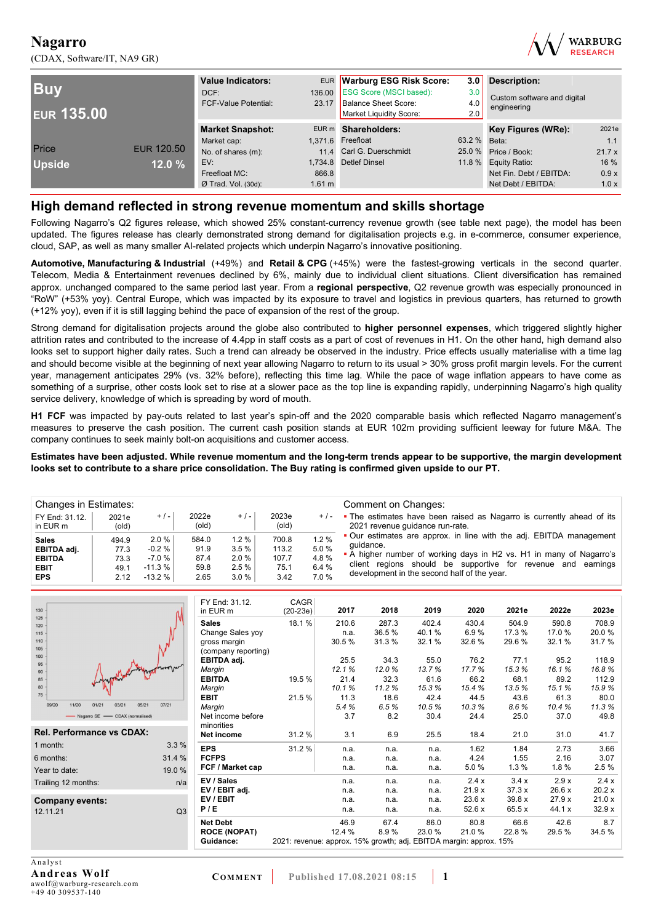(CDAX, Software/IT, NA9 GR)



| <b>Buy</b><br><b>EUR 135.00</b> |            | <b>Value Indicators:</b><br>DCF:<br>23.17<br><b>FCF-Value Potential:</b> |                  | EUR Warburg ESG Risk Score:<br>136.00 ESG Score (MSCI based):<br>Balance Sheet Score:<br>Market Liquidity Score: | 3.0<br><b>Description:</b><br>3.0<br>4.0<br>2.0 |                         |       |
|---------------------------------|------------|--------------------------------------------------------------------------|------------------|------------------------------------------------------------------------------------------------------------------|-------------------------------------------------|-------------------------|-------|
|                                 |            | <b>Market Snapshot:</b>                                                  |                  | EUR m Shareholders:                                                                                              |                                                 | Key Figures (WRe):      | 2021e |
|                                 |            | Market cap:                                                              |                  | 1.371.6 Freefloat                                                                                                | 63.2 % Beta:                                    |                         | 1.1   |
| Price                           | EUR 120.50 | No. of shares (m):                                                       |                  | 11.4 Carl G. Duerschmidt                                                                                         |                                                 | 25.0 % Price / Book:    | 21.7x |
| <b>Upside</b>                   | 12.0%      | EV:                                                                      |                  | 1,734.8 Detlef Dinsel                                                                                            |                                                 | 11.8 % Equity Ratio:    | 16 %  |
|                                 |            | Freefloat MC:                                                            | 866.8            |                                                                                                                  |                                                 | Net Fin. Debt / EBITDA: | 0.9x  |
|                                 |            | $Ø$ Trad. Vol. (30d):                                                    | $1.61 \text{ m}$ |                                                                                                                  |                                                 | Net Debt / EBITDA:      | 1.0x  |

### **High demand reflected in strong revenue momentum and skills shortage**

Following Nagarro's Q2 figures release, which showed 25% constant-currency revenue growth (see table next page), the model has been updated. The figures release has clearly demonstrated strong demand for digitalisation projects e.g. in e-commerce, consumer experience, cloud, SAP, as well as many smaller AI-related projects which underpin Nagarro's innovative positioning.

**Automotive, Manufacturing & Industrial** (+49%) and **Retail & CPG** (+45%) were the fastest-growing verticals in the second quarter. Telecom, Media & Entertainment revenues declined by 6%, mainly due to individual client situations. Client diversification has remained approx. unchanged compared to the same period last year. From a **regional perspective**, Q2 revenue growth was especially pronounced in "RoW" (+53% yoy). Central Europe, which was impacted by its exposure to travel and logistics in previous quarters, has returned to growth (+12% yoy), even if it is still lagging behind the pace of expansion of the rest of the group.

Strong demand for digitalisation projects around the globe also contributed to **higher personnel expenses**, which triggered slightly higher attrition rates and contributed to the increase of 4.4pp in staff costs as a part of cost of revenues in H1. On the other hand, high demand also looks set to support higher daily rates. Such a trend can already be observed in the industry. Price effects usually materialise with a time lag and should become visible at the beginning of next year allowing Nagarro to return to its usual > 30% gross profit margin levels. For the current year, management anticipates 29% (vs. 32% before), reflecting this time lag. While the pace of wage inflation appears to have come as something of a surprise, other costs look set to rise at a slower pace as the top line is expanding rapidly, underpinning Nagarro's high quality service delivery, knowledge of which is spreading by word of mouth.

**H1 FCF** was impacted by pay-outs related to last year's spin-off and the 2020 comparable basis which reflected Nagarro management's measures to preserve the cash position. The current cash position stands at EUR 102m providing sufficient leeway for future M&A. The company continues to seek mainly bolt-on acquisitions and customer access.

**Estimates have been adjusted. While revenue momentum and the long-term trends appear to be supportive, the margin development looks set to contribute to a share price consolidation. The Buy rating is confirmed given upside to our PT.** 

| Changes in Estimates:      |                |          |                |          |                |       | Comment on Changes:                                                                                      |
|----------------------------|----------------|----------|----------------|----------|----------------|-------|----------------------------------------------------------------------------------------------------------|
| FY End: 31.12.<br>in EUR m | 2021e<br>(old) | $+/-$    | 2022e<br>(old) | $+/-$    | 2023e<br>(old) | $+/-$ | • The estimates have been raised as Nagarro is currently ahead of its<br>2021 revenue quidance run-rate. |
| <b>Sales</b>               | 494.9          | $2.0\%$  | 584.0          | $1.2 \%$ | 700.8          | 1.2%  | • Our estimates are approx. in line with the adj. EBITDA management                                      |
| EBITDA adj.                | 77.3           | $-0.2%$  | 91.9           | 3.5%     | 113.2          | 5.0%  | quidance.                                                                                                |
| <b>EBITDA</b>              | 73.3           | $-7.0%$  | 87.4           | 2.0%     | 107.7          | 4.8%  | • A higher number of working days in H2 vs. H1 in many of Nagarro's                                      |
| <b>EBIT</b>                | 49.1           | $-11.3%$ | 59.8           | 2.5%     | 75.1           | 6.4 % | client regions should be supportive for revenue and earnings                                             |
| <b>EPS</b>                 | 2.12           | $-13.2%$ | 2.65           | 3.0%     | 3.42           | 7.0%  | development in the second half of the year.                                                              |

| 130                                                | FY End: 31.12.      | CAGR                                                               |        |       |       |        |        |        |        |
|----------------------------------------------------|---------------------|--------------------------------------------------------------------|--------|-------|-------|--------|--------|--------|--------|
| 125                                                | in EUR m            | $(20-23e)$                                                         | 2017   | 2018  | 2019  | 2020   | 2021e  | 2022e  | 2023e  |
| 120                                                | <b>Sales</b>        | 18.1%                                                              | 210.6  | 287.3 | 402.4 | 430.4  | 504.9  | 590.8  | 708.9  |
| 115                                                | Change Sales yoy    |                                                                    | n.a.   | 36.5% | 40.1% | 6.9%   | 17.3 % | 17.0%  | 20.0%  |
| 110                                                | gross margin        |                                                                    | 30.5%  | 31.3% | 32.1% | 32.6%  | 29.6%  | 32.1%  | 31.7%  |
| 105                                                | (company reporting) |                                                                    |        |       |       |        |        |        |        |
| 100<br>95                                          | EBITDA adj.         |                                                                    | 25.5   | 34.3  | 55.0  | 76.2   | 77.1   | 95.2   | 118.9  |
| 90                                                 | Margin              |                                                                    | 12.1%  | 12.0% | 13.7% | 17.7%  | 15.3%  | 16.1%  | 16.8%  |
| 85                                                 | <b>EBITDA</b>       | 19.5 %                                                             | 21.4   | 32.3  | 61.6  | 66.2   | 68.1   | 89.2   | 112.9  |
| 80                                                 | Margin              |                                                                    | 10.1%  | 11.2% | 15.3% | 15.4%  | 13.5%  | 15.1%  | 15.9%  |
| 75                                                 | <b>EBIT</b>         | 21.5%                                                              | 11.3   | 18.6  | 42.4  | 44.5   | 43.6   | 61.3   | 80.0   |
| 07/21<br>09/20<br>11/20<br>01/21<br>03/21<br>05/21 | Margin              |                                                                    | 5.4%   | 6.5%  | 10.5% | 10.3%  | 8.6%   | 10.4%  | 11.3%  |
| - Nagarro SE - CDAX (normalised)                   | Net income before   |                                                                    | 3.7    | 8.2   | 30.4  | 24.4   | 25.0   | 37.0   | 49.8   |
|                                                    | minorities          |                                                                    |        |       |       |        |        |        |        |
| Rel. Performance vs CDAX:                          | <b>Net income</b>   | 31.2 %                                                             | 3.1    | 6.9   | 25.5  | 18.4   | 21.0   | 31.0   | 41.7   |
| 3.3%<br>1 month:                                   | <b>EPS</b>          | 31.2%                                                              | n.a.   | n.a.  | n.a.  | 1.62   | 1.84   | 2.73   | 3.66   |
| 31.4 %<br>6 months:                                | <b>FCFPS</b>        |                                                                    | n.a.   | n.a.  | n.a.  | 4.24   | 1.55   | 2.16   | 3.07   |
| 19.0 %<br>Year to date:                            | FCF / Market cap    |                                                                    | n.a.   | n.a.  | n.a.  | 5.0%   | 1.3%   | 1.8%   | 2.5 %  |
| Trailing 12 months:<br>n/a                         | EV / Sales          |                                                                    | n.a.   | n.a.  | n.a.  | 2.4x   | 3.4x   | 2.9x   | 2.4x   |
|                                                    | EV / EBIT adj.      |                                                                    | n.a.   | n.a.  | n.a.  | 21.9x  | 37.3x  | 26.6 x | 20.2x  |
| Company events:                                    | EV/EBIT             |                                                                    | n.a.   | n.a.  | n.a.  | 23.6x  | 39.8x  | 27.9x  | 21.0x  |
| Q3<br>12.11.21                                     | P/E                 |                                                                    | n.a.   | n.a.  | n.a.  | 52.6 x | 65.5 x | 44.1 x | 32.9x  |
|                                                    | <b>Net Debt</b>     |                                                                    | 46.9   | 67.4  | 86.0  | 80.8   | 66.6   | 42.6   | 8.7    |
|                                                    | <b>ROCE (NOPAT)</b> |                                                                    | 12.4 % | 8.9%  | 23.0% | 21.0%  | 22.8%  | 29.5%  | 34.5 % |
|                                                    | Guidance:           | 2021: revenue: approx. 15% growth; adj. EBITDA margin: approx. 15% |        |       |       |        |        |        |        |
|                                                    |                     |                                                                    |        |       |       |        |        |        |        |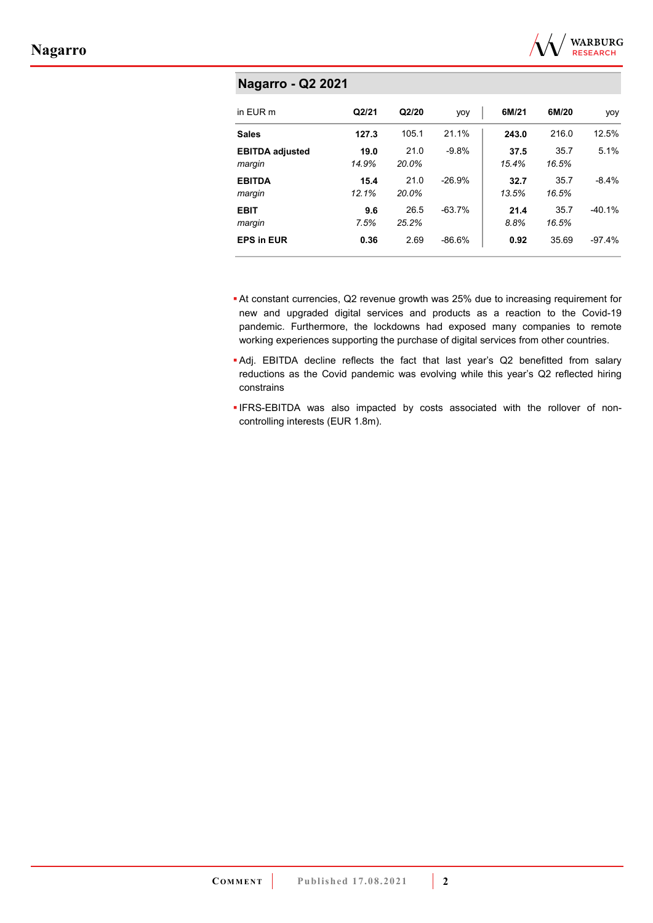

| <b>Nagarro - Q2 2021</b>         |               |               |          |               |               |          |  |  |  |  |  |  |
|----------------------------------|---------------|---------------|----------|---------------|---------------|----------|--|--|--|--|--|--|
| in EUR m                         | Q2/21         | Q2/20         | yoy      | 6M/21         | 6M/20         | yoy      |  |  |  |  |  |  |
| <b>Sales</b>                     | 127.3         | 105.1         | 21.1%    | 243.0         | 216.0         | 12.5%    |  |  |  |  |  |  |
| <b>EBITDA adjusted</b><br>margin | 19.0<br>14.9% | 21.0<br>20.0% | $-9.8%$  | 37.5<br>15.4% | 35.7<br>16.5% | 5.1%     |  |  |  |  |  |  |
| <b>EBITDA</b><br>margin          | 15.4<br>12.1% | 21.0<br>20.0% | $-26.9%$ | 32.7<br>13.5% | 35.7<br>16.5% | $-8.4%$  |  |  |  |  |  |  |
| <b>EBIT</b><br>margin            | 9.6<br>7.5%   | 26.5<br>25.2% | $-63.7%$ | 21.4<br>8.8%  | 35.7<br>16.5% | $-40.1%$ |  |  |  |  |  |  |
| <b>EPS in EUR</b>                | 0.36          | 2.69          | $-86.6%$ | 0.92          | 35.69         | $-97.4%$ |  |  |  |  |  |  |

- At constant currencies, Q2 revenue growth was 25% due to increasing requirement for new and upgraded digital services and products as a reaction to the Covid-19 pandemic. Furthermore, the lockdowns had exposed many companies to remote working experiences supporting the purchase of digital services from other countries.
- Adj. EBITDA decline reflects the fact that last year's Q2 benefitted from salary reductions as the Covid pandemic was evolving while this year's Q2 reflected hiring constrains
- IFRS-EBITDA was also impacted by costs associated with the rollover of noncontrolling interests (EUR 1.8m).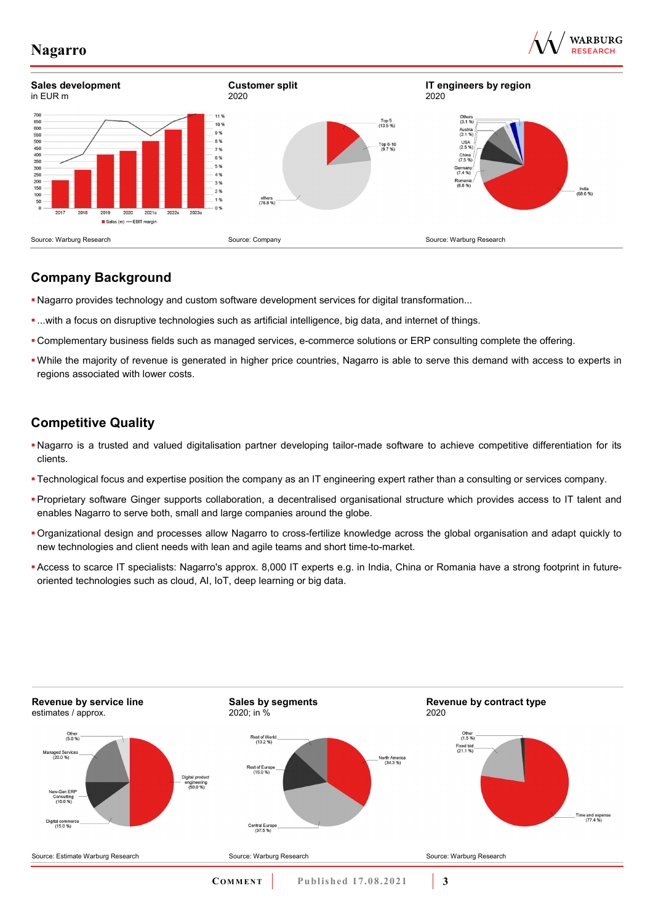



### **Company Background**

- Nagarro provides technology and custom software development services for digital transformation...
- ...with a focus on disruptive technologies such as artificial intelligence, big data, and internet of things.
- Complementary business fields such as managed services, e-commerce solutions or ERP consulting complete the offering.
- While the majority of revenue is generated in higher price countries, Nagarro is able to serve this demand with access to experts in regions associated with lower costs.

## **Competitive Quality**

- Nagarro is a trusted and valued digitalisation partner developing tailor-made software to achieve competitive differentiation for its clients.
- Technological focus and expertise position the company as an IT engineering expert rather than a consulting or services company.
- Proprietary software Ginger supports collaboration, a decentralised organisational structure which provides access to IT talent and enables Nagarro to serve both, small and large companies around the globe.
- Organizational design and processes allow Nagarro to cross-fertilize knowledge across the global organisation and adapt quickly to new technologies and client needs with lean and agile teams and short time-to-market.
- Access to scarce IT specialists: Nagarro's approx. 8,000 IT experts e.g. in India, China or Romania have a strong footprint in futureoriented technologies such as cloud, AI, IoT, deep learning or big data.

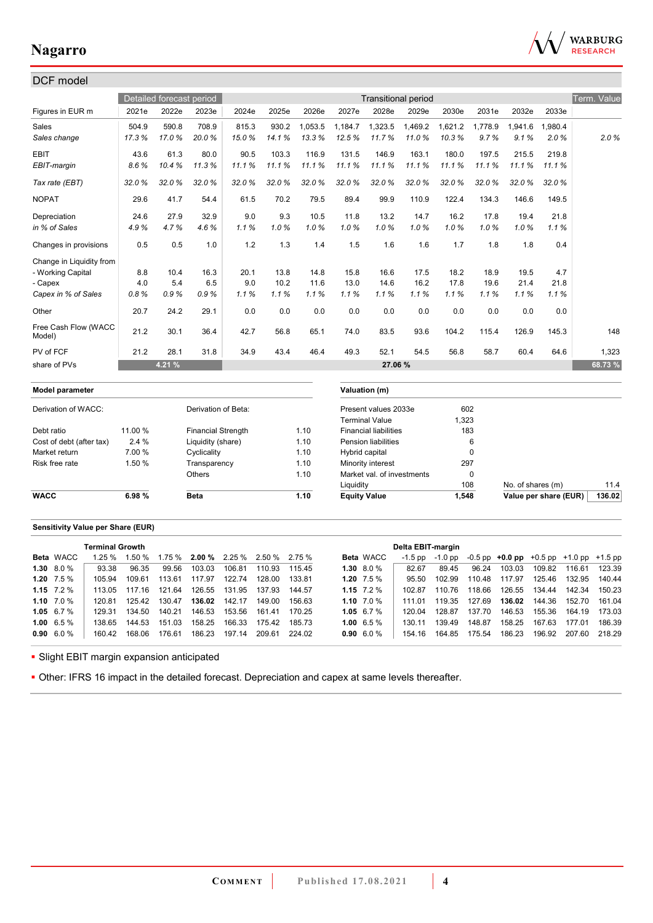

| DCF model                      |         |                          |                           |       |       |         |                     |                              |                            |         |             |                   |                       |             |
|--------------------------------|---------|--------------------------|---------------------------|-------|-------|---------|---------------------|------------------------------|----------------------------|---------|-------------|-------------------|-----------------------|-------------|
|                                |         | Detailed forecast period |                           |       |       |         |                     |                              | <b>Transitional period</b> |         |             |                   |                       | Term. Value |
| Figures in EUR m               | 2021e   | 2022e                    | 2023e                     | 2024e | 2025e | 2026e   | 2027e               | 2028e                        | 2029e                      | 2030e   | 2031e       | 2032e             | 2033e                 |             |
| Sales                          | 504.9   | 590.8                    | 708.9                     | 815.3 | 930.2 | 1,053.5 | 1,184.7             | 1,323.5                      | 1,469.2                    | 1,621.2 | 1,778.9     | 1,941.6           | 1,980.4               |             |
| Sales change                   | 17.3%   | 17.0%                    | 20.0%                     | 15.0% | 14.1% | 13.3%   | 12.5%               | 11.7%                        | 11.0%                      | 10.3%   | 9.7%        | 9.1%              | 2.0%                  | 2.0%        |
| <b>EBIT</b>                    | 43.6    | 61.3                     | 80.0                      | 90.5  | 103.3 | 116.9   | 131.5               | 146.9                        | 163.1                      | 180.0   | 197.5       | 215.5             | 219.8                 |             |
| EBIT-margin                    | 8.6%    | 10.4%                    | 11.3%                     | 11.1% | 11.1% | 11.1%   | 11.1%               | 11.1%                        | 11.1%                      | 11.1%   | 11.1%       | 11.1%             | 11.1%                 |             |
| Tax rate (EBT)                 | 32.0%   | 32.0%                    | 32.0%                     | 32.0% | 32.0% | 32.0%   | 32.0%               | 32.0%                        | 32.0%                      | 32.0%   | 32.0%       | 32.0%             | 32.0%                 |             |
| <b>NOPAT</b>                   | 29.6    | 41.7                     | 54.4                      | 61.5  | 70.2  | 79.5    | 89.4                | 99.9                         | 110.9                      | 122.4   | 134.3       | 146.6             | 149.5                 |             |
| Depreciation                   | 24.6    | 27.9                     | 32.9                      | 9.0   | 9.3   | 10.5    | 11.8                | 13.2                         | 14.7                       | 16.2    | 17.8        | 19.4              | 21.8                  |             |
| in % of Sales                  | 4.9%    | 4.7%                     | 4.6%                      | 1.1%  | 1.0%  | 1.0%    | 1.0%                | 1.0%                         | 1.0%                       | 1.0%    | 1.0%        | 1.0%              | 1.1%                  |             |
| Changes in provisions          | 0.5     | 0.5                      | 1.0                       | 1.2   | 1.3   | 1.4     | 1.5                 | 1.6                          | 1.6                        | 1.7     | 1.8         | 1.8               | 0.4                   |             |
| Change in Liquidity from       |         |                          |                           |       |       |         |                     |                              |                            |         |             |                   |                       |             |
| - Working Capital              | 8.8     | 10.4                     | 16.3                      | 20.1  | 13.8  | 14.8    | 15.8                | 16.6                         | 17.5                       | 18.2    | 18.9        | 19.5              | 4.7                   |             |
| - Capex                        | 4.0     | 5.4                      | 6.5                       | 9.0   | 10.2  | 11.6    | 13.0                | 14.6                         | 16.2                       | 17.8    | 19.6        | 21.4              | 21.8                  |             |
| Capex in % of Sales            | 0.8%    | 0.9%                     | 0.9%                      | 1.1%  | 1.1%  | 1.1%    | 1.1%                | 1.1%                         | 1.1%                       | 1.1%    | 1.1%        | 1.1%              | 1.1%                  |             |
| Other                          | 20.7    | 24.2                     | 29.1                      | 0.0   | 0.0   | 0.0     | 0.0                 | 0.0                          | 0.0                        | 0.0     | 0.0         | 0.0               | 0.0                   |             |
| Free Cash Flow (WACC<br>Model) | 21.2    | 30.1                     | 36.4                      | 42.7  | 56.8  | 65.1    | 74.0                | 83.5                         | 93.6                       | 104.2   | 115.4       | 126.9             | 145.3                 | 148         |
| PV of FCF                      | 21.2    | 28.1                     | 31.8                      | 34.9  | 43.4  | 46.4    | 49.3                | 52.1                         | 54.5                       | 56.8    | 58.7        | 60.4              | 64.6                  | 1,323       |
| share of PVs                   |         | 4.21 %                   |                           |       |       |         |                     | 27.06 %                      |                            |         |             |                   |                       | 68.73%      |
| Model parameter                |         |                          |                           |       |       |         |                     | Valuation (m)                |                            |         |             |                   |                       |             |
| Derivation of WACC:            |         |                          | Derivation of Beta:       |       |       |         |                     | Present values 2033e         |                            | 602     |             |                   |                       |             |
|                                |         |                          |                           |       |       |         |                     | <b>Terminal Value</b>        |                            | 1,323   |             |                   |                       |             |
| Debt ratio                     | 11.00 % |                          | <b>Financial Strength</b> |       |       | 1.10    |                     | <b>Financial liabilities</b> |                            | 183     |             |                   |                       |             |
| Cost of debt (after tax)       | 2.4 %   |                          | Liquidity (share)         |       |       | 1.10    |                     | <b>Pension liabilities</b>   |                            |         | 6           |                   |                       |             |
| Market return                  | 7.00 %  |                          | Cyclicality               |       |       | 1.10    |                     | Hybrid capital               |                            |         | $\mathbf 0$ |                   |                       |             |
| Risk free rate                 | 1.50 %  |                          | Transparency              |       |       | 1.10    |                     | Minority interest            |                            | 297     |             |                   |                       |             |
|                                |         |                          | Others                    |       |       | 1.10    |                     | Market val. of investments   |                            |         | $\mathbf 0$ |                   |                       |             |
|                                |         |                          |                           |       |       |         | Liquidity           |                              |                            | 108     |             | No. of shares (m) |                       | 11.4        |
| <b>WACC</b>                    | 6.98%   |                          | <b>Beta</b>               |       |       | 1.10    | <b>Equity Value</b> |                              |                            | 1,548   |             |                   | Value per share (EUR) | 136.02      |

### **Sensitivity Value per Share (EUR)**

|                   | <b>Terminal Growth</b> |        |        |        |                                      |        |        |               |                  | Delta EBIT-margin |         |        |                                                   |        |               |        |
|-------------------|------------------------|--------|--------|--------|--------------------------------------|--------|--------|---------------|------------------|-------------------|---------|--------|---------------------------------------------------|--------|---------------|--------|
| <b>Beta</b> WACC  | 1.25%                  | 1.50%  |        |        | $1.75\%$ 2.00 % 2.25 % 2.50 % 2.75 % |        |        |               | <b>Beta</b> WACC | $-1.5$ pp         | -1.0 pp |        | $-0.5$ pp $+0.0$ pp $+0.5$ pp $+1.0$ pp $+1.5$ pp |        |               |        |
| $1.30\quad 8.0\%$ | 93.38                  | 96.35  | 99.56  | 103.03 | 106.81                               | 110.93 | 115.45 | $1.30\ 8.0\%$ |                  | 82.67             | 89.45   | 96.24  | 103.03                                            | 109.82 | 116.61        | 123.39 |
| 1.20 $7.5\%$      | 105.94                 | 109.61 | 113.61 | 117.97 | 122.74                               | 128.00 | 133.81 | 1.20 $7.5\%$  |                  | 95.50             | 102.99  | 110.48 | 117.97                                            | 125.46 | 132.95        | 140.44 |
| 1.15 $7.2\%$      | 113 05                 | 117.16 | 121.64 | 126.55 | 131.95                               | 137.93 | 144 57 | 1.15 $7.2\%$  |                  | 102.87            | 110.76  | 118.66 | 126.55                                            | 134.44 | 142.34        | 150.23 |
| 1.10 $7.0\%$      | 120.81                 | 125.42 | 130.47 | 136.02 | 142.17                               | 149.00 | 156.63 | 1.10 $7.0\%$  |                  | 111 01            | 119.35  | 127.69 | 136.02                                            | 144.36 | 152.70        | 161.04 |
| 1.05 6.7 $%$      | 129.31                 | 134.50 | 140.21 | 146.53 | 153.56                               | 161.41 | 170 25 | 1.05 $6.7\%$  |                  | 120.04            | 12887   | 137.70 | 146.53                                            | 155.36 | 164.19        | 173.03 |
| 1.00 $6.5\%$      | 138.65                 | 144.53 | 151.03 | 158.25 | 166.33                               | 175.42 | 185.73 | 1.00 $6.5\%$  |                  | 130 11            | 139.49  | 148.87 | 158.25                                            | 167.63 | 177.01        | 186.39 |
| $0.90\quad 6.0\%$ | 160.42                 | 168.06 | 176.61 | 186.23 | 197.14                               | 209.61 | 224.02 | $0.90\ 6.0\%$ |                  | 154.16            | 164.85  | 175.54 | 186.23                                            | 196.92 | 207.60 218.29 |        |

**- Slight EBIT margin expansion anticipated** 

Other: IFRS 16 impact in the detailed forecast. Depreciation and capex at same levels thereafter.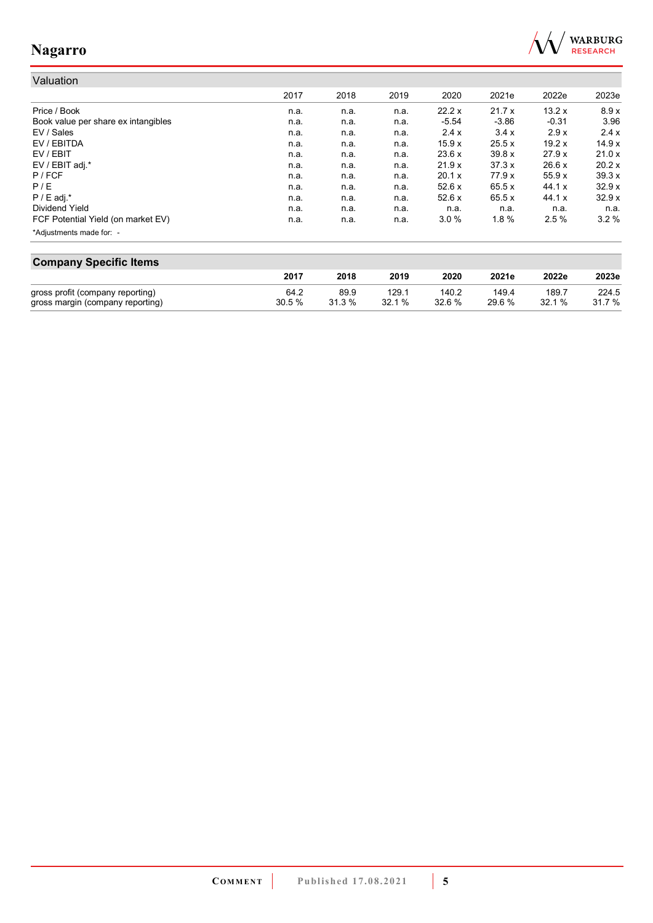

#### Valuation 2017 2018 2019 2020 2021e 2022e 2023e Price / Book n.a. n.a. n.a. 22.2 x 21.7 x 13.2 x 8.9 x Book value per share ex intangibles **n.a.** n.a. n.a. n.a. n.a. -5.54 -3.86 -0.31 3.96<br>EV / Sales 2.9 x 2.4 x 3.4 x 2.9 x 2.4 x EV / Sales n.a. n.a. n.a. 2.4 x 3.4 x 2.9 x 2.4 x EV / EBITDA n.a. n.a. n.a. 15.9 x 25.5 x 19.2 x 14.9 x EV / EBIT n.a. n.a. n.a. 23.6 x 39.8 x 27.9 x 21.0 x EV / EBIT adj.\* n.a. n.a. n.a. 21.9 x 37.3 x 26.6 x 20.2 x P / FCF n.a. n.a. n.a. 20.1 x 77.9 x 55.9 x 39.3 x P / E n.a. n.a. n.a. 52.6 x 65.5 x 44.1 x 32.9 x P / E adj.\* n.a. n.a. n.a. 52.6 x 65.5 x 44.1 x 32.9 x Dividend Yield n.a. n.a. n.a. n.a. n.a. n.a. n.a. FCF Potential Yield (on market EV) **n.a.** n.a. n.a. n.a. 3.0 % 1.8 % 2.5 % 3.2 % \*Adjustments made for: -

| <b>Company Specific Items</b>    |       |        |       |        |        |       |        |  |  |  |  |
|----------------------------------|-------|--------|-------|--------|--------|-------|--------|--|--|--|--|
|                                  | 2017  | 2018   | 2019  | 2020   | 2021e  | 2022e | 2023e  |  |  |  |  |
| gross profit (company reporting) | 64.2  | 89.9   | 129.1 | 140.2  | 149.4  | 189.7 | 224.5  |  |  |  |  |
| gross margin (company reporting) | 30.5% | 31.3 % | 32.1% | 32.6 % | 29.6 % | 32.1% | 31.7 % |  |  |  |  |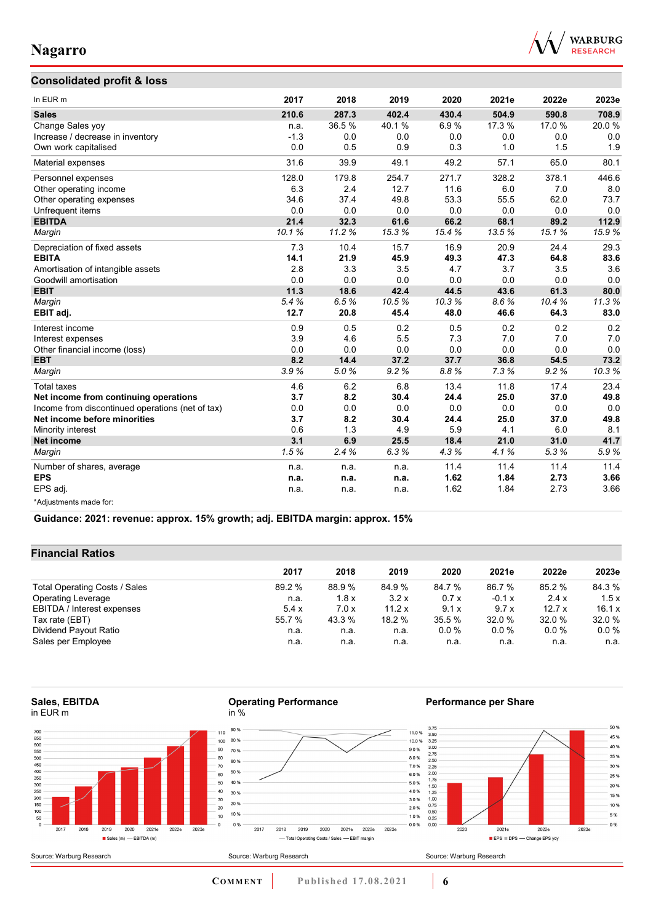

### **Consolidated profit & loss**

| In EUR m                                         | 2017   | 2018  | 2019  | 2020   | 2021e  | 2022e | 2023e |
|--------------------------------------------------|--------|-------|-------|--------|--------|-------|-------|
| <b>Sales</b>                                     | 210.6  | 287.3 | 402.4 | 430.4  | 504.9  | 590.8 | 708.9 |
| Change Sales yoy                                 | n.a.   | 36.5% | 40.1% | 6.9%   | 17.3 % | 17.0% | 20.0% |
| Increase / decrease in inventory                 | $-1.3$ | 0.0   | 0.0   | 0.0    | 0.0    | 0.0   | 0.0   |
| Own work capitalised                             | 0.0    | 0.5   | 0.9   | 0.3    | 1.0    | 1.5   | 1.9   |
| Material expenses                                | 31.6   | 39.9  | 49.1  | 49.2   | 57.1   | 65.0  | 80.1  |
| Personnel expenses                               | 128.0  | 179.8 | 254.7 | 271.7  | 328.2  | 378.1 | 446.6 |
| Other operating income                           | 6.3    | 2.4   | 12.7  | 11.6   | 6.0    | 7.0   | 8.0   |
| Other operating expenses                         | 34.6   | 37.4  | 49.8  | 53.3   | 55.5   | 62.0  | 73.7  |
| Unfrequent items                                 | 0.0    | 0.0   | 0.0   | 0.0    | 0.0    | 0.0   | 0.0   |
| <b>EBITDA</b>                                    | 21.4   | 32.3  | 61.6  | 66.2   | 68.1   | 89.2  | 112.9 |
| Margin                                           | 10.1%  | 11.2% | 15.3% | 15.4 % | 13.5%  | 15.1% | 15.9% |
| Depreciation of fixed assets                     | 7.3    | 10.4  | 15.7  | 16.9   | 20.9   | 24.4  | 29.3  |
| <b>EBITA</b>                                     | 14.1   | 21.9  | 45.9  | 49.3   | 47.3   | 64.8  | 83.6  |
| Amortisation of intangible assets                | 2.8    | 3.3   | 3.5   | 4.7    | 3.7    | 3.5   | 3.6   |
| Goodwill amortisation                            | 0.0    | 0.0   | 0.0   | 0.0    | 0.0    | 0.0   | 0.0   |
| <b>EBIT</b>                                      | 11.3   | 18.6  | 42.4  | 44.5   | 43.6   | 61.3  | 80.0  |
| Margin                                           | 5.4%   | 6.5%  | 10.5% | 10.3%  | 8.6%   | 10.4% | 11.3% |
| EBIT adj.                                        | 12.7   | 20.8  | 45.4  | 48.0   | 46.6   | 64.3  | 83.0  |
| Interest income                                  | 0.9    | 0.5   | 0.2   | 0.5    | 0.2    | 0.2   | 0.2   |
| Interest expenses                                | 3.9    | 4.6   | 5.5   | 7.3    | 7.0    | 7.0   | 7.0   |
| Other financial income (loss)                    | 0.0    | 0.0   | 0.0   | 0.0    | 0.0    | 0.0   | 0.0   |
| <b>EBT</b>                                       | 8.2    | 14.4  | 37.2  | 37.7   | 36.8   | 54.5  | 73.2  |
| Margin                                           | 3.9%   | 5.0%  | 9.2%  | 8.8%   | 7.3%   | 9.2%  | 10.3% |
| <b>Total taxes</b>                               | 4.6    | 6.2   | 6.8   | 13.4   | 11.8   | 17.4  | 23.4  |
| Net income from continuing operations            | 3.7    | 8.2   | 30.4  | 24.4   | 25.0   | 37.0  | 49.8  |
| Income from discontinued operations (net of tax) | 0.0    | 0.0   | 0.0   | 0.0    | 0.0    | 0.0   | 0.0   |
| Net income before minorities                     | 3.7    | 8.2   | 30.4  | 24.4   | 25.0   | 37.0  | 49.8  |
| Minority interest                                | 0.6    | 1.3   | 4.9   | 5.9    | 4.1    | 6.0   | 8.1   |
| <b>Net income</b>                                | 3.1    | 6.9   | 25.5  | 18.4   | 21.0   | 31.0  | 41.7  |
| Margin                                           | 1.5%   | 2.4%  | 6.3%  | 4.3%   | 4.1%   | 5.3%  | 5.9%  |
| Number of shares, average                        | n.a.   | n.a.  | n.a.  | 11.4   | 11.4   | 11.4  | 11.4  |
| <b>EPS</b>                                       | n.a.   | n.a.  | n.a.  | 1.62   | 1.84   | 2.73  | 3.66  |
| EPS adj.                                         | n.a.   | n.a.  | n.a.  | 1.62   | 1.84   | 2.73  | 3.66  |
| *Adjustments made for:                           |        |       |       |        |        |       |       |

**Guidance: 2021: revenue: approx. 15% growth; adj. EBITDA margin: approx. 15%**

### **Financial Ratios**

|                               | 2017   | 2018   | 2019   | 2020   | 2021e    | 2022e   | 2023e   |
|-------------------------------|--------|--------|--------|--------|----------|---------|---------|
| Total Operating Costs / Sales | 89.2 % | 88.9 % | 84.9%  | 84.7 % | 86.7 %   | 85.2 %  | 84.3 %  |
| <b>Operating Leverage</b>     | n.a.   | 1.8x   | 3.2x   | 0.7x   | $-0.1 x$ | 2.4x    | 1.5x    |
| EBITDA / Interest expenses    | 5.4x   | 7.0x   | 11.2 x | 9.1x   | 9.7x     | 12.7x   | 16.1 x  |
| Tax rate (EBT)                | 55.7 % | 43.3 % | 18.2 % | 35.5 % | 32.0 %   | 32.0%   | 32.0 %  |
| Dividend Payout Ratio         | n.a.   | n.a.   | n.a.   | 0.0%   | $0.0\%$  | $0.0\%$ | $0.0\%$ |
| Sales per Employee            | n.a.   | n.a.   | n.a.   | n.a.   | n.a.     | n.a.    | n.a.    |

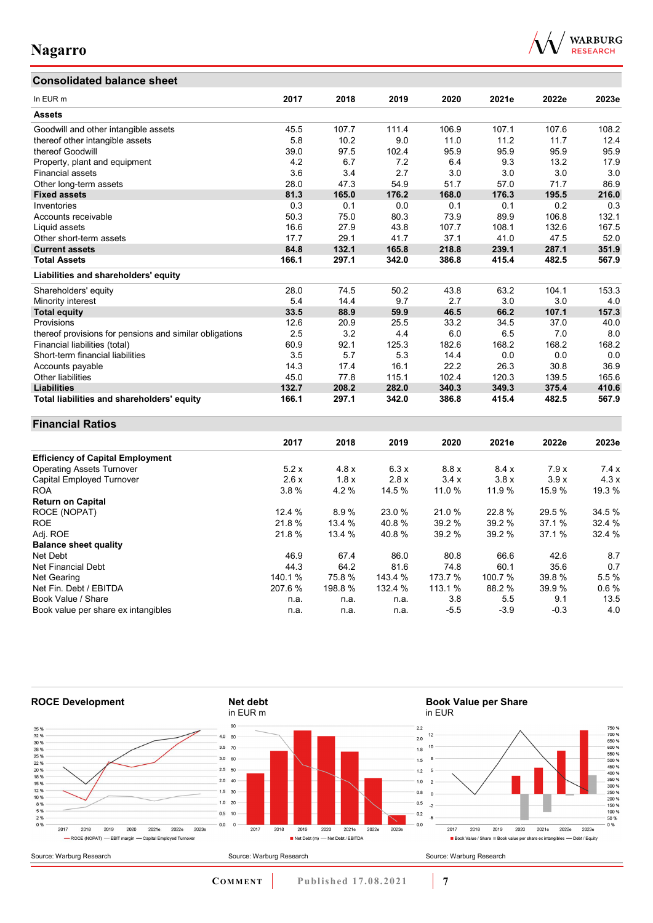## **Consolidated balance sheet**



| In EUR m                                                | 2017   | 2018   | 2019    | 2020    | 2021e  | 2022e  | 2023e  |
|---------------------------------------------------------|--------|--------|---------|---------|--------|--------|--------|
| <b>Assets</b>                                           |        |        |         |         |        |        |        |
| Goodwill and other intangible assets                    | 45.5   | 107.7  | 111.4   | 106.9   | 107.1  | 107.6  | 108.2  |
| thereof other intangible assets                         | 5.8    | 10.2   | 9.0     | 11.0    | 11.2   | 11.7   | 12.4   |
| thereof Goodwill                                        | 39.0   | 97.5   | 102.4   | 95.9    | 95.9   | 95.9   | 95.9   |
| Property, plant and equipment                           | 4.2    | 6.7    | 7.2     | 6.4     | 9.3    | 13.2   | 17.9   |
| Financial assets                                        | 3.6    | 3.4    | 2.7     | 3.0     | 3.0    | 3.0    | 3.0    |
| Other long-term assets                                  | 28.0   | 47.3   | 54.9    | 51.7    | 57.0   | 71.7   | 86.9   |
| <b>Fixed assets</b>                                     | 81.3   | 165.0  | 176.2   | 168.0   | 176.3  | 195.5  | 216.0  |
| Inventories                                             | 0.3    | 0.1    | $0.0\,$ | 0.1     | 0.1    | 0.2    | 0.3    |
| Accounts receivable                                     | 50.3   | 75.0   | 80.3    | 73.9    | 89.9   | 106.8  | 132.1  |
| Liquid assets                                           | 16.6   | 27.9   | 43.8    | 107.7   | 108.1  | 132.6  | 167.5  |
| Other short-term assets                                 | 17.7   | 29.1   | 41.7    | 37.1    | 41.0   | 47.5   | 52.0   |
| <b>Current assets</b>                                   | 84.8   | 132.1  | 165.8   | 218.8   | 239.1  | 287.1  | 351.9  |
| <b>Total Assets</b>                                     | 166.1  | 297.1  | 342.0   | 386.8   | 415.4  | 482.5  | 567.9  |
| Liabilities and shareholders' equity                    |        |        |         |         |        |        |        |
| Shareholders' equity                                    | 28.0   | 74.5   | 50.2    | 43.8    | 63.2   | 104.1  | 153.3  |
| Minority interest                                       | 5.4    | 14.4   | 9.7     | 2.7     | 3.0    | 3.0    | 4.0    |
| <b>Total equity</b>                                     | 33.5   | 88.9   | 59.9    | 46.5    | 66.2   | 107.1  | 157.3  |
| Provisions                                              | 12.6   | 20.9   | 25.5    | 33.2    | 34.5   | 37.0   | 40.0   |
| thereof provisions for pensions and similar obligations | 2.5    | 3.2    | 4.4     | 6.0     | 6.5    | 7.0    | 8.0    |
| Financial liabilities (total)                           | 60.9   | 92.1   | 125.3   | 182.6   | 168.2  | 168.2  | 168.2  |
| Short-term financial liabilities                        | 3.5    | 5.7    | 5.3     | 14.4    | 0.0    | 0.0    | 0.0    |
| Accounts payable                                        | 14.3   | 17.4   | 16.1    | 22.2    | 26.3   | 30.8   | 36.9   |
| Other liabilities                                       | 45.0   | 77.8   | 115.1   | 102.4   | 120.3  | 139.5  | 165.6  |
| <b>Liabilities</b>                                      | 132.7  | 208.2  | 282.0   | 340.3   | 349.3  | 375.4  | 410.6  |
| Total liabilities and shareholders' equity              | 166.1  | 297.1  | 342.0   | 386.8   | 415.4  | 482.5  | 567.9  |
| <b>Financial Ratios</b>                                 |        |        |         |         |        |        |        |
|                                                         | 2017   | 2018   | 2019    | 2020    | 2021e  | 2022e  | 2023e  |
|                                                         |        |        |         |         |        |        |        |
| <b>Efficiency of Capital Employment</b>                 |        |        |         |         |        |        |        |
| <b>Operating Assets Turnover</b>                        | 5.2x   | 4.8x   | 6.3x    | 8.8x    | 8.4x   | 7.9x   | 7.4x   |
| Capital Employed Turnover                               | 2.6x   | 1.8x   | 2.8x    | 3.4x    | 3.8x   | 3.9x   | 4.3x   |
| <b>ROA</b>                                              | 3.8%   | 4.2%   | 14.5 %  | 11.0%   | 11.9%  | 15.9%  | 19.3%  |
| <b>Return on Capital</b>                                |        |        |         |         |        |        |        |
| ROCE (NOPAT)                                            | 12.4 % | 8.9%   | 23.0%   | 21.0%   | 22.8%  | 29.5 % | 34.5 % |
| <b>ROE</b>                                              | 21.8%  | 13.4 % | 40.8%   | 39.2 %  | 39.2 % | 37.1%  | 32.4 % |
| Adj. ROE                                                | 21.8%  | 13.4 % | 40.8%   | 39.2 %  | 39.2 % | 37.1%  | 32.4 % |
| <b>Balance sheet quality</b>                            |        |        |         |         |        |        |        |
| Net Debt                                                | 46.9   | 67.4   | 86.0    | 80.8    | 66.6   | 42.6   | 8.7    |
| Net Financial Debt                                      | 44.3   | 64.2   | 81.6    | 74.8    | 60.1   | 35.6   | 0.7    |
| Net Gearing                                             | 140.1% | 75.8%  | 143.4 % | 173.7 % | 100.7% | 39.8%  | 5.5%   |
| Net Fin. Debt / EBITDA                                  | 207.6% | 198.8% | 132.4 % | 113.1 % | 88.2 % | 39.9%  | 0.6%   |
| Book Value / Share                                      | n.a.   | n.a.   | n.a.    | 3.8     | 5.5    | 9.1    | 13.5   |
| Book value per share ex intangibles                     | n.a.   | n.a.   | n.a.    | $-5.5$  | $-3.9$ | $-0.3$ | 4.0    |



**COMMENT** Published 17.08.2021 **7**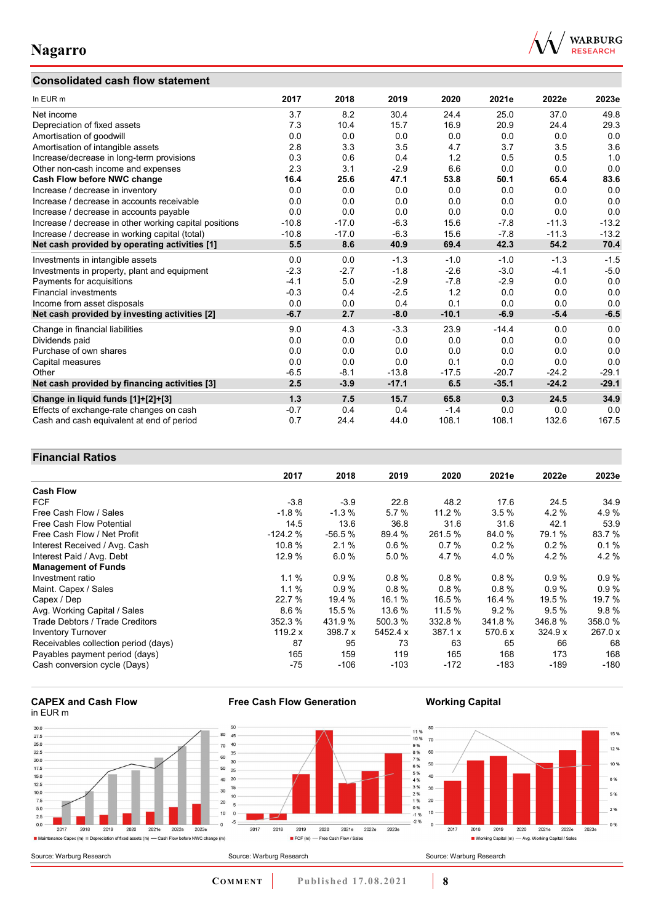## **Consolidated cash flow statement**



| In EUR m                                               | 2017    | 2018    | 2019    | 2020    | 2021e   | 2022e   | 2023e   |
|--------------------------------------------------------|---------|---------|---------|---------|---------|---------|---------|
| Net income                                             | 3.7     | 8.2     | 30.4    | 24.4    | 25.0    | 37.0    | 49.8    |
| Depreciation of fixed assets                           | 7.3     | 10.4    | 15.7    | 16.9    | 20.9    | 24.4    | 29.3    |
| Amortisation of goodwill                               | 0.0     | 0.0     | 0.0     | 0.0     | 0.0     | 0.0     | 0.0     |
| Amortisation of intangible assets                      | 2.8     | 3.3     | 3.5     | 4.7     | 3.7     | 3.5     | 3.6     |
| Increase/decrease in long-term provisions              | 0.3     | 0.6     | 0.4     | 1.2     | 0.5     | 0.5     | 1.0     |
| Other non-cash income and expenses                     | 2.3     | 3.1     | $-2.9$  | 6.6     | 0.0     | 0.0     | 0.0     |
| Cash Flow before NWC change                            | 16.4    | 25.6    | 47.1    | 53.8    | 50.1    | 65.4    | 83.6    |
| Increase / decrease in inventory                       | 0.0     | 0.0     | 0.0     | 0.0     | 0.0     | 0.0     | 0.0     |
| Increase / decrease in accounts receivable             | 0.0     | 0.0     | 0.0     | 0.0     | 0.0     | 0.0     | 0.0     |
| Increase / decrease in accounts payable                | 0.0     | 0.0     | 0.0     | 0.0     | 0.0     | 0.0     | 0.0     |
| Increase / decrease in other working capital positions | $-10.8$ | $-17.0$ | $-6.3$  | 15.6    | $-7.8$  | $-11.3$ | $-13.2$ |
| Increase / decrease in working capital (total)         | $-10.8$ | $-17.0$ | $-6.3$  | 15.6    | $-7.8$  | $-11.3$ | $-13.2$ |
| Net cash provided by operating activities [1]          | 5.5     | 8.6     | 40.9    | 69.4    | 42.3    | 54.2    | 70.4    |
| Investments in intangible assets                       | 0.0     | 0.0     | $-1.3$  | $-1.0$  | $-1.0$  | $-1.3$  | $-1.5$  |
| Investments in property, plant and equipment           | $-2.3$  | $-2.7$  | $-1.8$  | $-2.6$  | $-3.0$  | $-4.1$  | $-5.0$  |
| Payments for acquisitions                              | $-4.1$  | 5.0     | $-2.9$  | $-7.8$  | $-2.9$  | 0.0     | 0.0     |
| <b>Financial investments</b>                           | $-0.3$  | 0.4     | $-2.5$  | 1.2     | 0.0     | 0.0     | 0.0     |
| Income from asset disposals                            | 0.0     | 0.0     | 0.4     | 0.1     | 0.0     | 0.0     | 0.0     |
| Net cash provided by investing activities [2]          | $-6.7$  | 2.7     | $-8.0$  | $-10.1$ | $-6.9$  | $-5.4$  | $-6.5$  |
| Change in financial liabilities                        | 9.0     | 4.3     | $-3.3$  | 23.9    | $-14.4$ | 0.0     | 0.0     |
| Dividends paid                                         | 0.0     | 0.0     | 0.0     | 0.0     | 0.0     | 0.0     | 0.0     |
| Purchase of own shares                                 | 0.0     | 0.0     | 0.0     | 0.0     | 0.0     | 0.0     | 0.0     |
| Capital measures                                       | 0.0     | 0.0     | 0.0     | 0.1     | 0.0     | 0.0     | 0.0     |
| Other                                                  | $-6.5$  | $-8.1$  | $-13.8$ | $-17.5$ | $-20.7$ | $-24.2$ | $-29.1$ |
| Net cash provided by financing activities [3]          | 2.5     | $-3.9$  | $-17.1$ | 6.5     | $-35.1$ | $-24.2$ | $-29.1$ |
| Change in liquid funds [1]+[2]+[3]                     | 1.3     | 7.5     | 15.7    | 65.8    | 0.3     | 24.5    | 34.9    |
| Effects of exchange-rate changes on cash               | $-0.7$  | 0.4     | 0.4     | $-1.4$  | 0.0     | 0.0     | 0.0     |
| Cash and cash equivalent at end of period              | 0.7     | 24.4    | 44.0    | 108.1   | 108.1   | 132.6   | 167.5   |

### **Financial Ratios**

| נ ווועווטועו ולענוט                  |           |          |          |         |          |         |         |
|--------------------------------------|-----------|----------|----------|---------|----------|---------|---------|
|                                      | 2017      | 2018     | 2019     | 2020    | 2021e    | 2022e   | 2023e   |
| <b>Cash Flow</b>                     |           |          |          |         |          |         |         |
| <b>FCF</b>                           | $-3.8$    | $-3.9$   | 22.8     | 48.2    | 17.6     | 24.5    | 34.9    |
| Free Cash Flow / Sales               | $-1.8%$   | $-1.3%$  | 5.7%     | 11.2 %  | 3.5%     | 4.2%    | 4.9%    |
| Free Cash Flow Potential             | 14.5      | 13.6     | 36.8     | 31.6    | 31.6     | 42.1    | 53.9    |
| Free Cash Flow / Net Profit          | $-124.2%$ | $-56.5%$ | 89.4 %   | 261.5 % | 84.0 %   | 79.1 %  | 83.7 %  |
| Interest Received / Avg. Cash        | 10.8%     | 2.1%     | $0.6\%$  | 0.7%    | 0.2%     | 0.2%    | 0.1%    |
| Interest Paid / Avg. Debt            | 12.9 %    | 6.0%     | 5.0%     | 4.7 %   | 4.0%     | 4.2%    | 4.2%    |
| <b>Management of Funds</b>           |           |          |          |         |          |         |         |
| Investment ratio                     | $1.1 \%$  | 0.9%     | $0.8 \%$ | 0.8%    | $0.8 \%$ | 0.9%    | $0.9\%$ |
| Maint. Capex / Sales                 | 1.1%      | 0.9%     | 0.8%     | 0.8%    | 0.8%     | 0.9%    | 0.9%    |
| Capex / Dep                          | 22.7 %    | 19.4 %   | 16.1 %   | 16.5 %  | 16.4 %   | 19.5 %  | 19.7%   |
| Avg. Working Capital / Sales         | 8.6%      | 15.5 %   | 13.6 %   | 11.5 %  | 9.2%     | 9.5%    | 9.8%    |
| Trade Debtors / Trade Creditors      | 352.3 %   | 431.9 %  | 500.3 %  | 332.8 % | 341.8%   | 346.8%  | 358.0 % |
| <b>Inventory Turnover</b>            | 119.2 $x$ | 398.7 x  | 5452.4 x | 387.1 x | 570.6 x  | 324.9 x | 267.0 x |
| Receivables collection period (days) | 87        | 95       | 73       | 63      | 65       | 66      | 68      |
| Payables payment period (days)       | 165       | 159      | 119      | 165     | 168      | 173     | 168     |
| Cash conversion cycle (Days)         | -75       | $-106$   | $-103$   | $-172$  | $-183$   | $-189$  | $-180$  |

#### **CAPEX and Cash Flow** in EUR m



**Free Cash Flow Generation**

**COMMENT** Published 17.08.2021 **8** 

**Working Capital**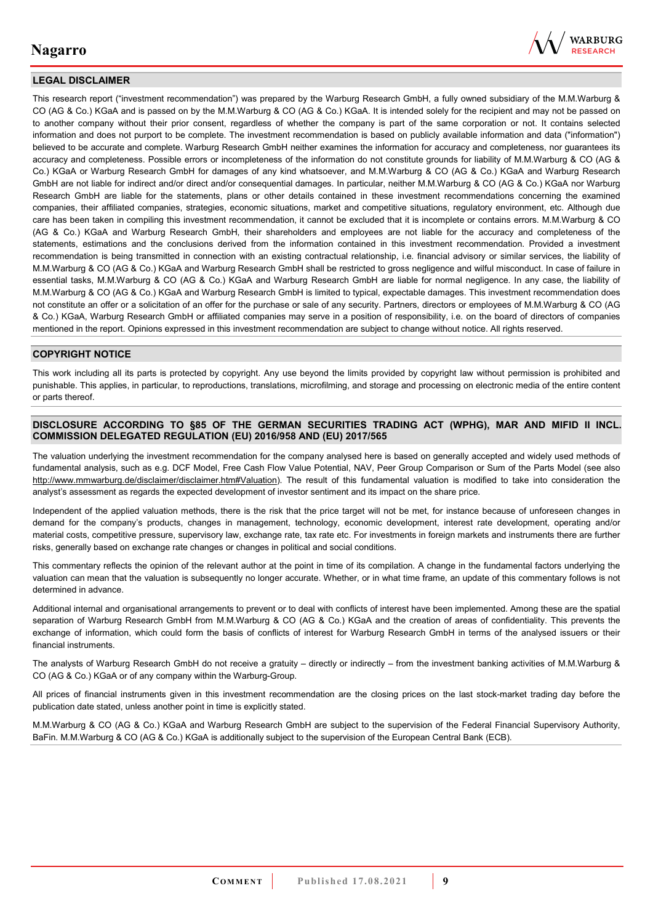

### **LEGAL DISCLAIMER**

This research report ("investment recommendation") was prepared by the Warburg Research GmbH, a fully owned subsidiary of the M.M.Warburg & CO (AG & Co.) KGaA and is passed on by the M.M.Warburg & CO (AG & Co.) KGaA. It is intended solely for the recipient and may not be passed on to another company without their prior consent, regardless of whether the company is part of the same corporation or not. It contains selected information and does not purport to be complete. The investment recommendation is based on publicly available information and data ("information") believed to be accurate and complete. Warburg Research GmbH neither examines the information for accuracy and completeness, nor guarantees its accuracy and completeness. Possible errors or incompleteness of the information do not constitute grounds for liability of M.M.Warburg & CO (AG & Co.) KGaA or Warburg Research GmbH for damages of any kind whatsoever, and M.M.Warburg & CO (AG & Co.) KGaA and Warburg Research GmbH are not liable for indirect and/or direct and/or consequential damages. In particular, neither M.M.Warburg & CO (AG & Co.) KGaA nor Warburg Research GmbH are liable for the statements, plans or other details contained in these investment recommendations concerning the examined companies, their affiliated companies, strategies, economic situations, market and competitive situations, regulatory environment, etc. Although due care has been taken in compiling this investment recommendation, it cannot be excluded that it is incomplete or contains errors. M.M.Warburg & CO (AG & Co.) KGaA and Warburg Research GmbH, their shareholders and employees are not liable for the accuracy and completeness of the statements, estimations and the conclusions derived from the information contained in this investment recommendation. Provided a investment recommendation is being transmitted in connection with an existing contractual relationship, i.e. financial advisory or similar services, the liability of M.M.Warburg & CO (AG & Co.) KGaA and Warburg Research GmbH shall be restricted to gross negligence and wilful misconduct. In case of failure in essential tasks, M.M.Warburg & CO (AG & Co.) KGaA and Warburg Research GmbH are liable for normal negligence. In any case, the liability of M.M.Warburg & CO (AG & Co.) KGaA and Warburg Research GmbH is limited to typical, expectable damages. This investment recommendation does not constitute an offer or a solicitation of an offer for the purchase or sale of any security. Partners, directors or employees of M.M.Warburg & CO (AG & Co.) KGaA, Warburg Research GmbH or affiliated companies may serve in a position of responsibility, i.e. on the board of directors of companies mentioned in the report. Opinions expressed in this investment recommendation are subject to change without notice. All rights reserved.

#### **COPYRIGHT NOTICE**

This work including all its parts is protected by copyright. Any use beyond the limits provided by copyright law without permission is prohibited and punishable. This applies, in particular, to reproductions, translations, microfilming, and storage and processing on electronic media of the entire content or parts thereof.

#### **DISCLOSURE ACCORDING TO §85 OF THE GERMAN SECURITIES TRADING ACT (WPHG), MAR AND MIFID II INCL. COMMISSION DELEGATED REGULATION (EU) 2016/958 AND (EU) 2017/565**

The valuation underlying the investment recommendation for the company analysed here is based on generally accepted and widely used methods of fundamental analysis, such as e.g. DCF Model, Free Cash Flow Value Potential, NAV, Peer Group Comparison or Sum of the Parts Model (see also [http://www.mmwarburg.de/disclaimer/disclaimer.htm#Valuation\)](http://www.mmwarburg.de/disclaimer/disclaimer.htm#Valuation). The result of this fundamental valuation is modified to take into consideration the analyst's assessment as regards the expected development of investor sentiment and its impact on the share price.

Independent of the applied valuation methods, there is the risk that the price target will not be met, for instance because of unforeseen changes in demand for the company's products, changes in management, technology, economic development, interest rate development, operating and/or material costs, competitive pressure, supervisory law, exchange rate, tax rate etc. For investments in foreign markets and instruments there are further risks, generally based on exchange rate changes or changes in political and social conditions.

This commentary reflects the opinion of the relevant author at the point in time of its compilation. A change in the fundamental factors underlying the valuation can mean that the valuation is subsequently no longer accurate. Whether, or in what time frame, an update of this commentary follows is not determined in advance.

Additional internal and organisational arrangements to prevent or to deal with conflicts of interest have been implemented. Among these are the spatial separation of Warburg Research GmbH from M.M.Warburg & CO (AG & Co.) KGaA and the creation of areas of confidentiality. This prevents the exchange of information, which could form the basis of conflicts of interest for Warburg Research GmbH in terms of the analysed issuers or their financial instruments.

The analysts of Warburg Research GmbH do not receive a gratuity – directly or indirectly – from the investment banking activities of M.M.Warburg & CO (AG & Co.) KGaA or of any company within the Warburg-Group.

All prices of financial instruments given in this investment recommendation are the closing prices on the last stock-market trading day before the publication date stated, unless another point in time is explicitly stated.

M.M.Warburg & CO (AG & Co.) KGaA and Warburg Research GmbH are subject to the supervision of the Federal Financial Supervisory Authority, BaFin. M.M.Warburg & CO (AG & Co.) KGaA is additionally subject to the supervision of the European Central Bank (ECB).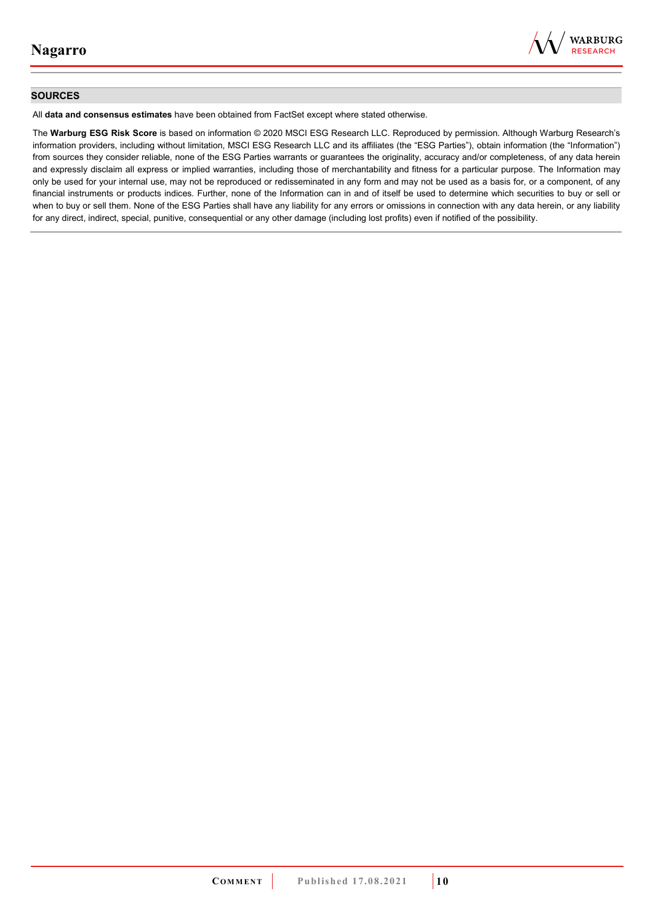

#### **SOURCES**

All **data and consensus estimates** have been obtained from FactSet except where stated otherwise.

The **Warburg ESG Risk Score** is based on information © 2020 MSCI ESG Research LLC. Reproduced by permission. Although Warburg Research's information providers, including without limitation, MSCI ESG Research LLC and its affiliates (the "ESG Parties"), obtain information (the "Information") from sources they consider reliable, none of the ESG Parties warrants or guarantees the originality, accuracy and/or completeness, of any data herein and expressly disclaim all express or implied warranties, including those of merchantability and fitness for a particular purpose. The Information may only be used for your internal use, may not be reproduced or redisseminated in any form and may not be used as a basis for, or a component, of any financial instruments or products indices. Further, none of the Information can in and of itself be used to determine which securities to buy or sell or when to buy or sell them. None of the ESG Parties shall have any liability for any errors or omissions in connection with any data herein, or any liability for any direct, indirect, special, punitive, consequential or any other damage (including lost profits) even if notified of the possibility.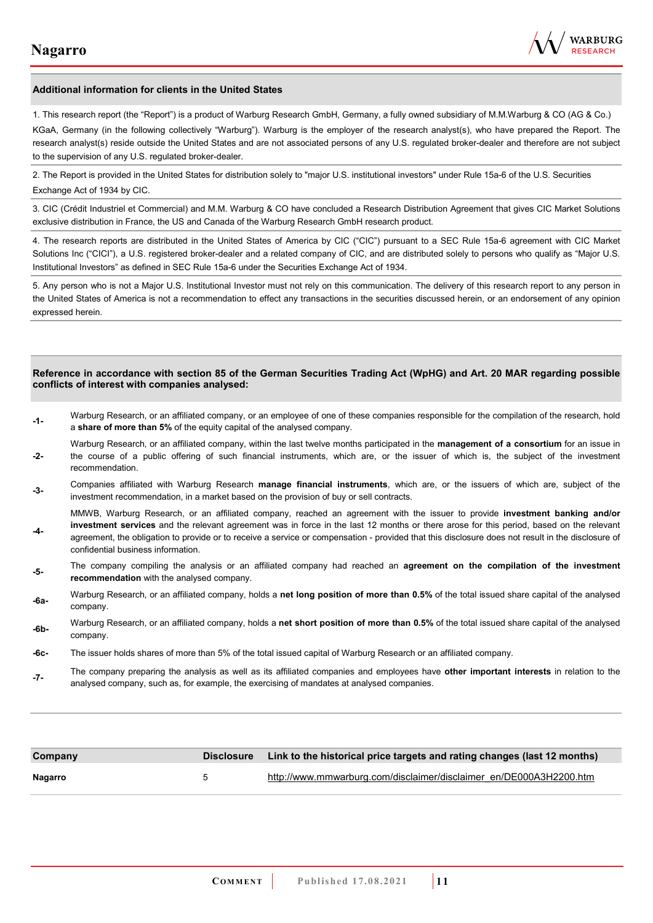

#### **Additional information for clients in the United States**

1. This research report (the "Report") is a product of Warburg Research GmbH, Germany, a fully owned subsidiary of M.M.Warburg & CO (AG & Co.)

KGaA, Germany (in the following collectively "Warburg"). Warburg is the employer of the research analyst(s), who have prepared the Report. The research analyst(s) reside outside the United States and are not associated persons of any U.S. regulated broker-dealer and therefore are not subject to the supervision of any U.S. regulated broker-dealer.

2. The Report is provided in the United States for distribution solely to "major U.S. institutional investors" under Rule 15a-6 of the U.S. Securities Exchange Act of 1934 by CIC.

3. CIC (Crédit Industriel et Commercial) and M.M. Warburg & CO have concluded a Research Distribution Agreement that gives CIC Market Solutions exclusive distribution in France, the US and Canada of the Warburg Research GmbH research product.

4. The research reports are distributed in the United States of America by CIC ("CIC") pursuant to a SEC Rule 15a-6 agreement with CIC Market Solutions Inc ("CICI"), a U.S. registered broker-dealer and a related company of CIC, and are distributed solely to persons who qualify as "Major U.S. Institutional Investors" as defined in SEC Rule 15a-6 under the Securities Exchange Act of 1934.

5. Any person who is not a Major U.S. Institutional Investor must not rely on this communication. The delivery of this research report to any person in the United States of America is not a recommendation to effect any transactions in the securities discussed herein, or an endorsement of any opinion expressed herein.

#### **Reference in accordance with section 85 of the German Securities Trading Act (WpHG) and Art. 20 MAR regarding possible conflicts of interest with companies analysed:**

- **-1-** Warburg Research, or an affiliated company, or an employee of one of these companies responsible for the compilation of the research, hold a **share of more than 5%** of the equity capital of the analysed company.
- **-2-**  Warburg Research, or an affiliated company, within the last twelve months participated in the **management of a consortium** for an issue in the course of a public offering of such financial instruments, which are, or the issuer of which is, the subject of the investment recommendation.
- **-3-** Companies affiliated with Warburg Research **manage financial instruments**, which are, or the issuers of which are, subject of the investment recommendation, in a market based on the provision of buy or sell contracts.

MMWB, Warburg Research, or an affiliated company, reached an agreement with the issuer to provide **investment banking and/or investment services** and the relevant agreement was in force in the last 12 months or there arose for this period, based on the relevant

- **-4**  agreement, the obligation to provide or to receive a service or compensation - provided that this disclosure does not result in the disclosure of confidential business information.
- **-5-** The company compiling the analysis or an affiliated company had reached an **agreement on the compilation of the investment recommendation** with the analysed company.
- **-6a-** Warburg Research, or an affiliated company, holds a **net long position of more than 0.5%** of the total issued share capital of the analysed company.
- **-6b-** Warburg Research, or an affiliated company, holds a **net short position of more than 0.5%** of the total issued share capital of the analysed company.
- **-6c-** The issuer holds shares of more than 5% of the total issued capital of Warburg Research or an affiliated company.
- **-7-** The company preparing the analysis as well as its affiliated companies and employees have **other important interests** in relation to the analysed company, such as, for example, the exercising of mandates at analysed companies.

| Company |   | Disclosure Link to the historical price targets and rating changes (last 12 months) |
|---------|---|-------------------------------------------------------------------------------------|
| Nagarro | 5 | http://www.mmwarburg.com/disclaimer/disclaimer_en/DE000A3H2200.htm                  |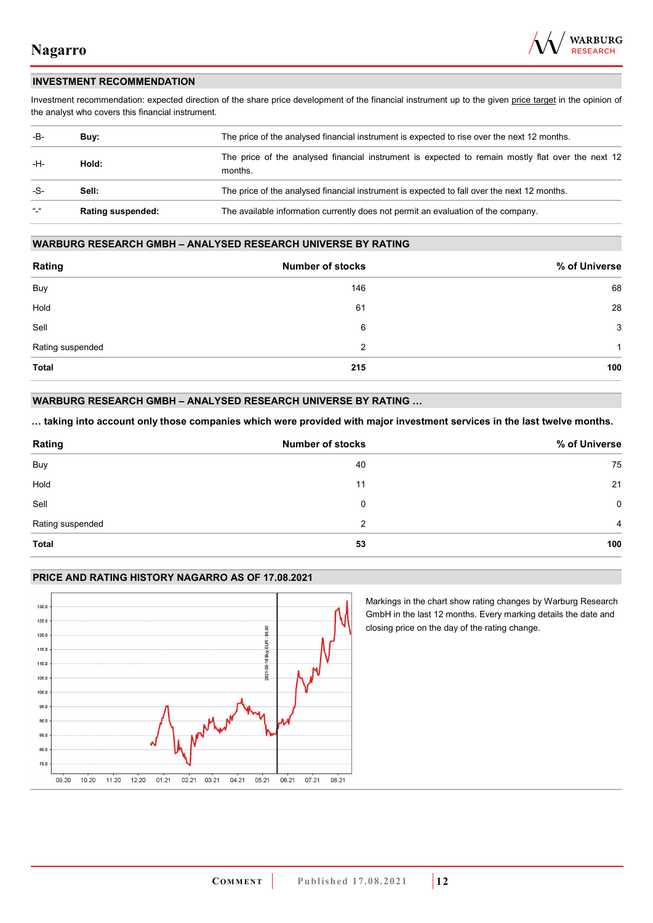

### **INVESTMENT RECOMMENDATION**

Investment recommendation: expected direction of the share price development of the financial instrument up to the given price target in the opinion of the analyst who covers this financial instrument.

| -B-           | Buy:                     | The price of the analysed financial instrument is expected to rise over the next 12 months.                  |  |
|---------------|--------------------------|--------------------------------------------------------------------------------------------------------------|--|
| -H-<br>Hold:  |                          | The price of the analysed financial instrument is expected to remain mostly flat over the next 12<br>months. |  |
| -S-           | Sell:                    | The price of the analysed financial instrument is expected to fall over the next 12 months.                  |  |
| $\frac{1}{2}$ | <b>Rating suspended:</b> | The available information currently does not permit an evaluation of the company.                            |  |

#### **WARBURG RESEARCH GMBH – ANALYSED RESEARCH UNIVERSE BY RATING**

| Rating           | <b>Number of stocks</b> | % of Universe |
|------------------|-------------------------|---------------|
| Buy              | 146                     | 68            |
| Hold             | 61                      | 28            |
| Sell             | 6                       | 3             |
| Rating suspended | 2                       | 1             |
| <b>Total</b>     | 215                     | 100           |

### **WARBURG RESEARCH GMBH – ANALYSED RESEARCH UNIVERSE BY RATING …**

**… taking into account only those companies which were provided with major investment services in the last twelve months.** 

| Rating           | <b>Number of stocks</b> | % of Universe |
|------------------|-------------------------|---------------|
| Buy              | 40                      | 75            |
| Hold             | 11                      | 21            |
| Sell             | 0                       | $\Omega$      |
| Rating suspended | 2                       | 4             |
| Total            | 53                      | 100           |

### **PRICE AND RATING HISTORY NAGARRO AS OF 17.08.2021**



Markings in the chart show rating changes by Warburg Research GmbH in the last 12 months. Every marking details the date and closing price on the day of the rating change.